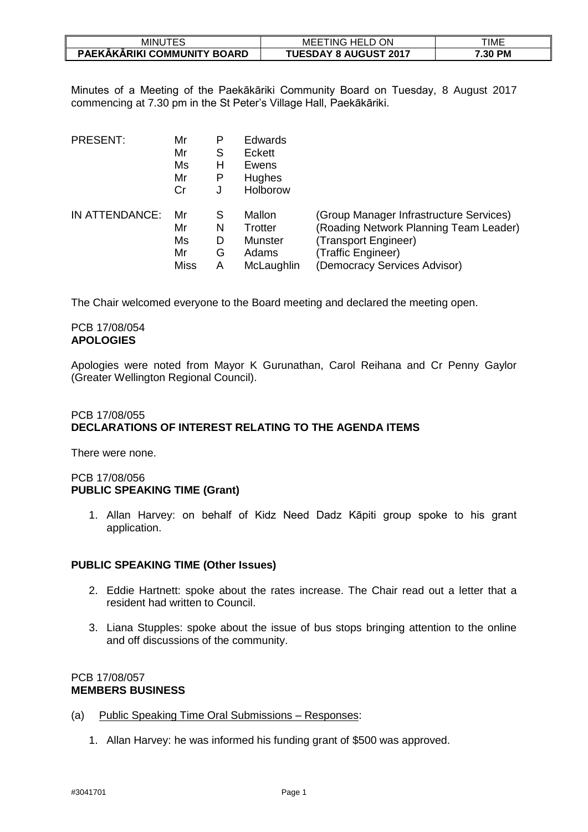| JTES<br>MINUT               | TING ,<br><b>HELD ON</b><br>MEE | TIME    |
|-----------------------------|---------------------------------|---------|
| PAEKĀKĀRIKI COMMUNITY BOARD | <b>TUESDAY 8 AUGUST 2017</b>    | 7.30 PM |

Minutes of a Meeting of the Paekākāriki Community Board on Tuesday, 8 August 2017 commencing at 7.30 pm in the St Peter's Village Hall, Paekākāriki.

| PRESENT:       | Mr<br>Mr<br>Ms<br>Mr<br>Cr | P<br>S<br>н<br>Р<br>J | <b>Edwards</b><br>Eckett<br>Ewens<br>Hughes<br>Holborow |                                         |
|----------------|----------------------------|-----------------------|---------------------------------------------------------|-----------------------------------------|
| IN ATTENDANCE: | Mr                         | S                     | Mallon                                                  | (Group Manager Infrastructure Services) |
|                | Mr                         | N                     | Trotter                                                 | (Roading Network Planning Team Leader)  |
|                | Ms                         | D                     | Munster                                                 | (Transport Engineer)                    |
|                | Mr                         | G                     | Adams                                                   | (Traffic Engineer)                      |
|                | <b>Miss</b>                | A                     | McLaughlin                                              | (Democracy Services Advisor)            |

The Chair welcomed everyone to the Board meeting and declared the meeting open.

### PCB 17/08/054 **APOLOGIES**

Apologies were noted from Mayor K Gurunathan, Carol Reihana and Cr Penny Gaylor (Greater Wellington Regional Council).

# PCB 17/08/055 **DECLARATIONS OF INTEREST RELATING TO THE AGENDA ITEMS**

There were none.

### PCB 17/08/056 **PUBLIC SPEAKING TIME (Grant)**

1. Allan Harvey: on behalf of Kidz Need Dadz Kāpiti group spoke to his grant application.

### **PUBLIC SPEAKING TIME (Other Issues)**

- 2. Eddie Hartnett: spoke about the rates increase. The Chair read out a letter that a resident had written to Council.
- 3. Liana Stupples: spoke about the issue of bus stops bringing attention to the online and off discussions of the community.

### PCB 17/08/057 **MEMBERS BUSINESS**

- (a) Public Speaking Time Oral Submissions Responses:
	- 1. Allan Harvey: he was informed his funding grant of \$500 was approved.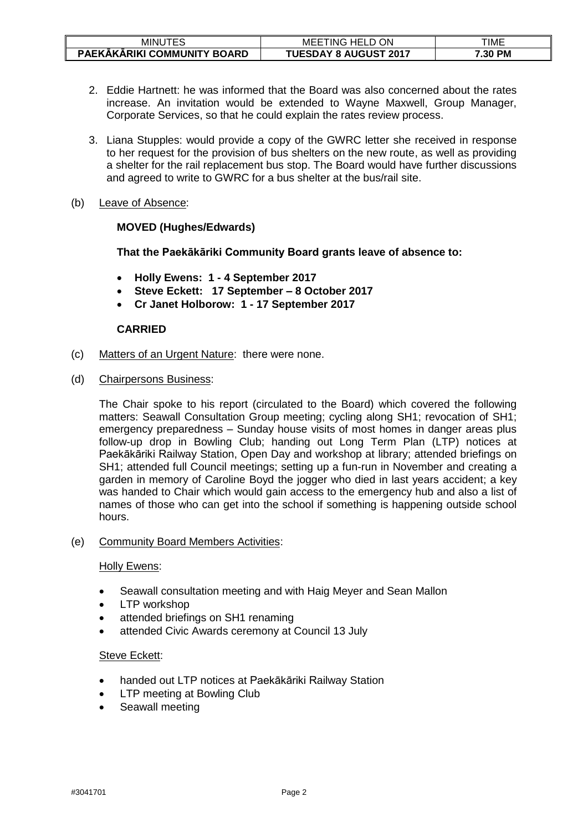| JTES<br>minu                | TING<br>HEL 1<br>ON<br>MEE   | TIME    |
|-----------------------------|------------------------------|---------|
| PAEKAKARIKI COMMUNITY BOARD | <b>TUESDAY 8 AUGUST 2017</b> | 7.30 PM |

- 2. Eddie Hartnett: he was informed that the Board was also concerned about the rates increase. An invitation would be extended to Wayne Maxwell, Group Manager, Corporate Services, so that he could explain the rates review process.
- 3. Liana Stupples: would provide a copy of the GWRC letter she received in response to her request for the provision of bus shelters on the new route, as well as providing a shelter for the rail replacement bus stop. The Board would have further discussions and agreed to write to GWRC for a bus shelter at the bus/rail site.
- (b) Leave of Absence:

# **MOVED (Hughes/Edwards)**

**That the Paekākāriki Community Board grants leave of absence to:**

- **Holly Ewens: 1 - 4 September 2017**
- **Steve Eckett: 17 September – 8 October 2017**
- **Cr Janet Holborow: 1 - 17 September 2017**

### **CARRIED**

- (c) Matters of an Urgent Nature: there were none.
- (d) Chairpersons Business:

The Chair spoke to his report (circulated to the Board) which covered the following matters: Seawall Consultation Group meeting; cycling along SH1; revocation of SH1; emergency preparedness – Sunday house visits of most homes in danger areas plus follow-up drop in Bowling Club; handing out Long Term Plan (LTP) notices at Paekākāriki Railway Station, Open Day and workshop at library; attended briefings on SH1; attended full Council meetings; setting up a fun-run in November and creating a garden in memory of Caroline Boyd the jogger who died in last years accident; a key was handed to Chair which would gain access to the emergency hub and also a list of names of those who can get into the school if something is happening outside school hours.

(e) Community Board Members Activities:

### Holly Ewens:

- Seawall consultation meeting and with Haig Meyer and Sean Mallon
- LTP workshop
- attended briefings on SH1 renaming
- attended Civic Awards ceremony at Council 13 July

### Steve Eckett:

- handed out LTP notices at Paekākāriki Railway Station
- LTP meeting at Bowling Club
- Seawall meeting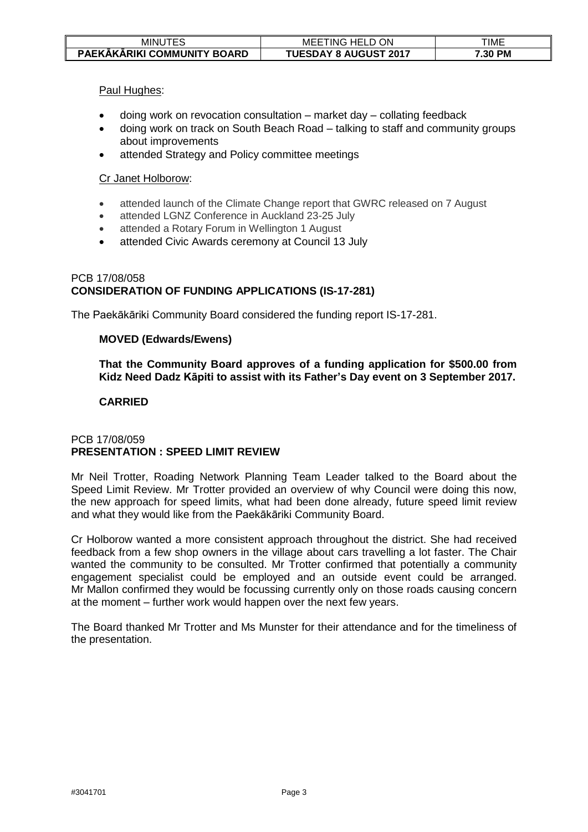| MINUTES                            | ON<br><b>HELD</b><br>. INGE<br>MEE<br>◡ | TIME    |
|------------------------------------|-----------------------------------------|---------|
| <b>PAEKAKARIKI COMMUNITY BOARD</b> | <b>TUESDAY 8 AUGUST 2017</b>            | 7.30 PM |

Paul Hughes:

- doing work on revocation consultation market day collating feedback
- doing work on track on South Beach Road talking to staff and community groups about improvements
- attended Strategy and Policy committee meetings

### Cr Janet Holborow:

- attended launch of the Climate Change report that GWRC released on 7 August
- attended LGNZ Conference in Auckland 23-25 July
- attended a Rotary Forum in Wellington 1 August
- attended Civic Awards ceremony at Council 13 July

### PCB 17/08/058 **CONSIDERATION OF FUNDING APPLICATIONS (IS-17-281)**

The Paekākāriki Community Board considered the funding report IS-17-281.

### **MOVED (Edwards/Ewens)**

**That the Community Board approves of a funding application for \$500.00 from Kidz Need Dadz Kāpiti to assist with its Father's Day event on 3 September 2017.**

# **CARRIED**

### PCB 17/08/059 **PRESENTATION : SPEED LIMIT REVIEW**

Mr Neil Trotter, Roading Network Planning Team Leader talked to the Board about the Speed Limit Review. Mr Trotter provided an overview of why Council were doing this now, the new approach for speed limits, what had been done already, future speed limit review and what they would like from the Paekākāriki Community Board.

Cr Holborow wanted a more consistent approach throughout the district. She had received feedback from a few shop owners in the village about cars travelling a lot faster. The Chair wanted the community to be consulted. Mr Trotter confirmed that potentially a community engagement specialist could be employed and an outside event could be arranged. Mr Mallon confirmed they would be focussing currently only on those roads causing concern at the moment – further work would happen over the next few years.

The Board thanked Mr Trotter and Ms Munster for their attendance and for the timeliness of the presentation.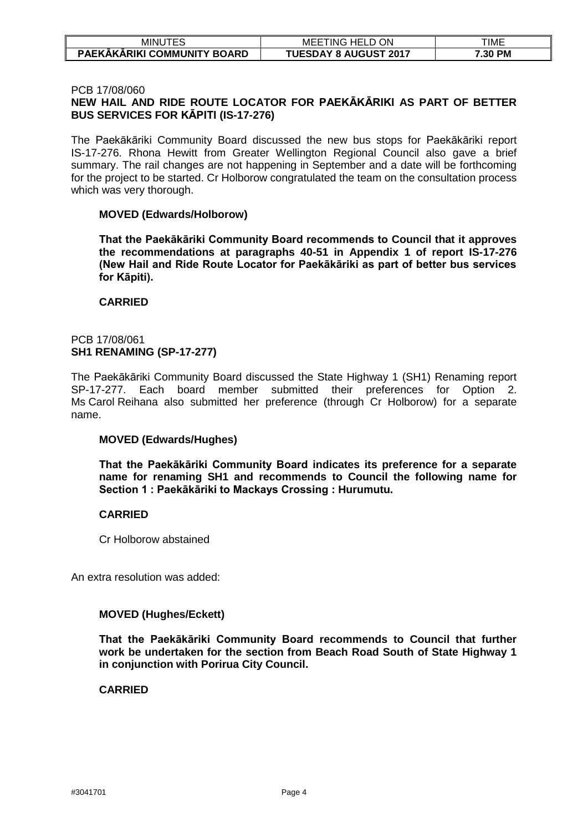| JTES<br>MINUT               | TING ,<br><b>HELD ON</b><br>MEE | TIME    |
|-----------------------------|---------------------------------|---------|
| PAEKĀKĀRIKI COMMUNITY BOARD | <b>TUESDAY 8 AUGUST 2017</b>    | 7.30 PM |

### PCB 17/08/060

# **NEW HAIL AND RIDE ROUTE LOCATOR FOR PAEKĀKĀRIKI AS PART OF BETTER BUS SERVICES FOR KĀPITI (IS-17-276)**

The Paekākāriki Community Board discussed the new bus stops for Paekākāriki report IS-17-276. Rhona Hewitt from Greater Wellington Regional Council also gave a brief summary. The rail changes are not happening in September and a date will be forthcoming for the project to be started. Cr Holborow congratulated the team on the consultation process which was very thorough.

### **MOVED (Edwards/Holborow)**

**That the Paekākāriki Community Board recommends to Council that it approves the recommendations at paragraphs 40-51 in Appendix 1 of report IS-17-276 (New Hail and Ride Route Locator for Paekākāriki as part of better bus services for Kāpiti).**

**CARRIED**

## PCB 17/08/061 **SH1 RENAMING (SP-17-277)**

The Paekākāriki Community Board discussed the State Highway 1 (SH1) Renaming report SP-17-277. Each board member submitted their preferences for Option 2. Ms Carol Reihana also submitted her preference (through Cr Holborow) for a separate name.

# **MOVED (Edwards/Hughes)**

**That the Paekākāriki Community Board indicates its preference for a separate name for renaming SH1 and recommends to Council the following name for Section 1 : Paekākāriki to Mackays Crossing : Hurumutu.**

# **CARRIED**

Cr Holborow abstained

An extra resolution was added:

### **MOVED (Hughes/Eckett)**

**That the Paekākāriki Community Board recommends to Council that further work be undertaken for the section from Beach Road South of State Highway 1 in conjunction with Porirua City Council.**

### **CARRIED**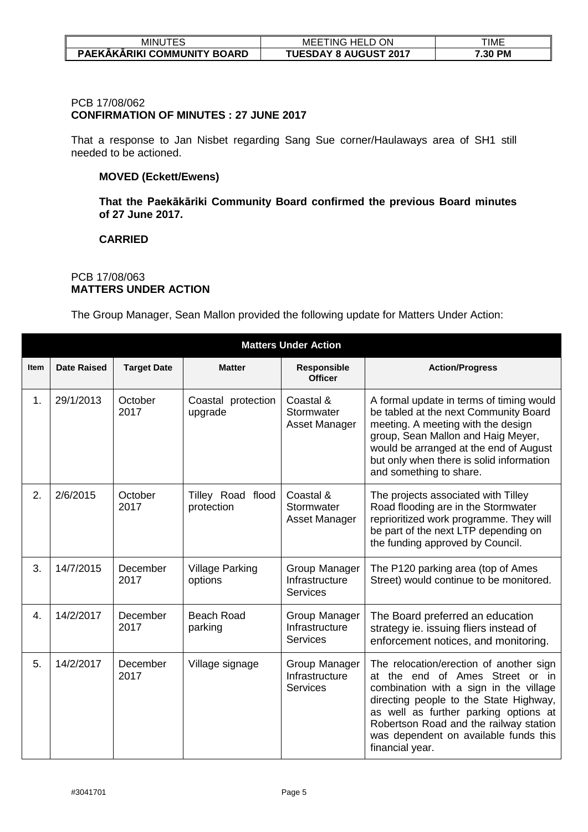| MINU .<br>--<br>⊏∾          | ON<br>ING.<br>8e i<br>ME<br>$\Box$<br>_<br>1 L | TIME    |
|-----------------------------|------------------------------------------------|---------|
| PAEKAKARIKI COMMUNITY BOARD | <b>TUESDAY 8 AUGUST 2017</b>                   | 7.30 PM |

# PCB 17/08/062

# **CONFIRMATION OF MINUTES : 27 JUNE 2017**

That a response to Jan Nisbet regarding Sang Sue corner/Haulaways area of SH1 still needed to be actioned.

## **MOVED (Eckett/Ewens)**

**That the Paekākāriki Community Board confirmed the previous Board minutes of 27 June 2017.**

### **CARRIED**

# PCB 17/08/063 **MATTERS UNDER ACTION**

The Group Manager, Sean Mallon provided the following update for Matters Under Action:

|             | <b>Matters Under Action</b> |                    |                                   |                                                    |                                                                                                                                                                                                                                                                                                               |  |
|-------------|-----------------------------|--------------------|-----------------------------------|----------------------------------------------------|---------------------------------------------------------------------------------------------------------------------------------------------------------------------------------------------------------------------------------------------------------------------------------------------------------------|--|
| <b>Item</b> | <b>Date Raised</b>          | <b>Target Date</b> | <b>Matter</b>                     | Responsible<br><b>Officer</b>                      | <b>Action/Progress</b>                                                                                                                                                                                                                                                                                        |  |
| 1.          | 29/1/2013                   | October<br>2017    | Coastal protection<br>upgrade     | Coastal &<br>Stormwater<br>Asset Manager           | A formal update in terms of timing would<br>be tabled at the next Community Board<br>meeting. A meeting with the design<br>group, Sean Mallon and Haig Meyer,<br>would be arranged at the end of August<br>but only when there is solid information<br>and something to share.                                |  |
| 2.          | 2/6/2015                    | October<br>2017    | Tilley Road flood<br>protection   | Coastal &<br>Stormwater<br>Asset Manager           | The projects associated with Tilley<br>Road flooding are in the Stormwater<br>reprioritized work programme. They will<br>be part of the next LTP depending on<br>the funding approved by Council.                                                                                                             |  |
| 3.          | 14/7/2015                   | December<br>2017   | <b>Village Parking</b><br>options | Group Manager<br>Infrastructure<br><b>Services</b> | The P120 parking area (top of Ames<br>Street) would continue to be monitored.                                                                                                                                                                                                                                 |  |
| 4.          | 14/2/2017                   | December<br>2017   | Beach Road<br>parking             | Group Manager<br>Infrastructure<br><b>Services</b> | The Board preferred an education<br>strategy ie. issuing fliers instead of<br>enforcement notices, and monitoring.                                                                                                                                                                                            |  |
| 5.          | 14/2/2017                   | December<br>2017   | Village signage                   | Group Manager<br>Infrastructure<br><b>Services</b> | The relocation/erection of another sign<br>at the end of Ames Street or in<br>combination with a sign in the village<br>directing people to the State Highway,<br>as well as further parking options at<br>Robertson Road and the railway station<br>was dependent on available funds this<br>financial year. |  |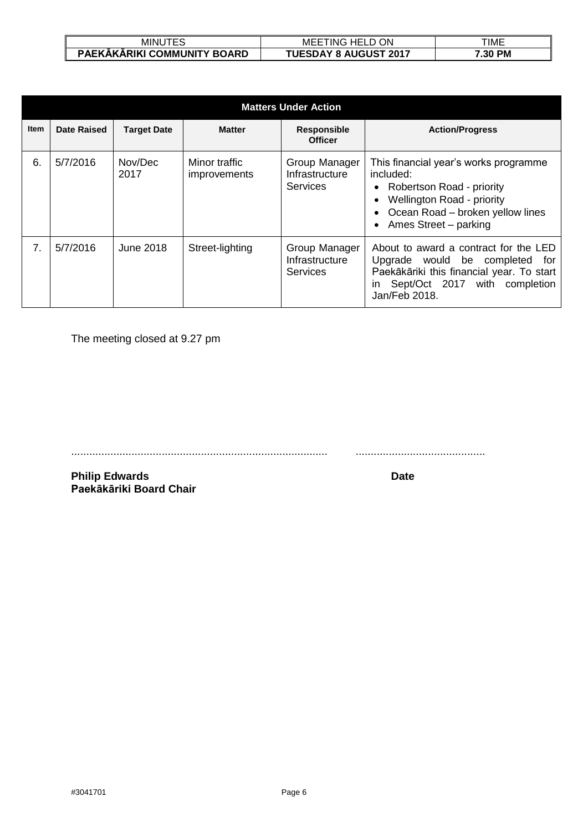| MINU                        | ON<br>$\sim$<br>HEL.<br>MEE<br>ING | TIME    |
|-----------------------------|------------------------------------|---------|
| PAEKĀKĀRIKI COMMUNITY BOARD | <b>TUESDAY 8 AUGUST 2017</b>       | 7.30 PM |

| <b>Matters Under Action</b> |             |                    |                                      |                                                    |                                                                                                                                                                                         |
|-----------------------------|-------------|--------------------|--------------------------------------|----------------------------------------------------|-----------------------------------------------------------------------------------------------------------------------------------------------------------------------------------------|
| <b>Item</b>                 | Date Raised | <b>Target Date</b> | <b>Matter</b>                        | <b>Responsible</b><br><b>Officer</b>               | <b>Action/Progress</b>                                                                                                                                                                  |
| 6.                          | 5/7/2016    | Nov/Dec<br>2017    | Minor traffic<br><i>improvements</i> | Group Manager<br>Infrastructure<br><b>Services</b> | This financial year's works programme<br>included:<br>Robertson Road - priority<br>$\bullet$<br>Wellington Road - priority<br>Ocean Road – broken yellow lines<br>Ames Street - parking |
| 7.                          | 5/7/2016    | June 2018          | Street-lighting                      | Group Manager<br>Infrastructure<br><b>Services</b> | About to award a contract for the LED<br>Upgrade would be completed<br>for<br>Paekākāriki this financial year. To start<br>Sept/Oct 2017 with completion<br>ın<br>Jan/Feb 2018.         |

The meeting closed at 9.27 pm

..................................................................................... ...........................................

**Philip Edwards Date Paekākāriki Board Chair**